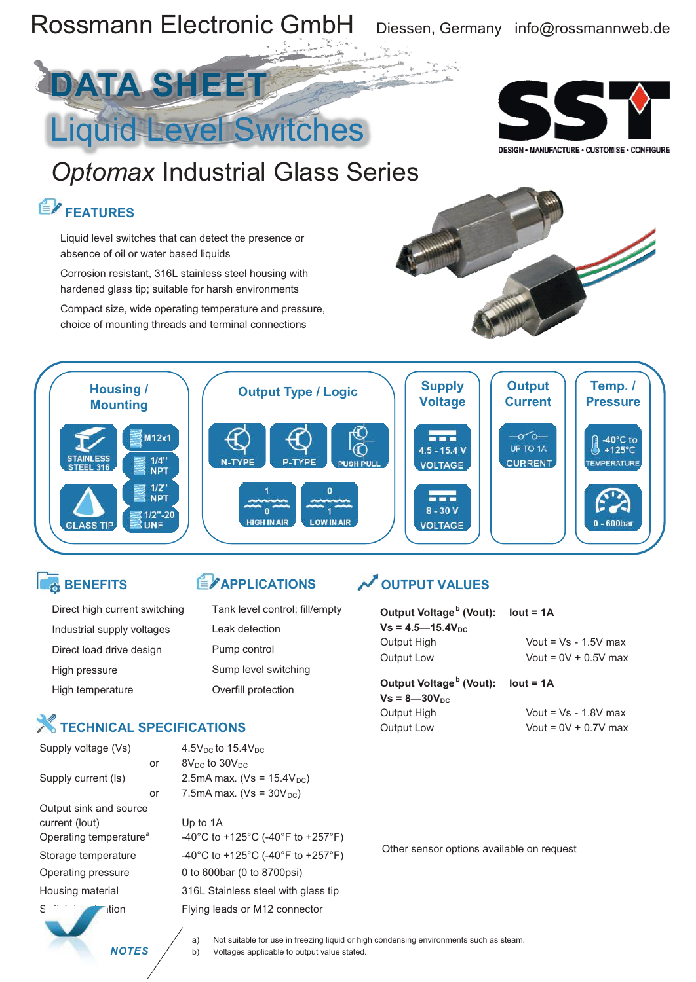

### **BENEFITS**

| Direct high current switching |
|-------------------------------|
| Industrial supply voltages    |
| Direct load drive design      |
| High pressure                 |
| High temperature              |

### Overfill protection

### **X** TECHNICAL SPECIFICATIONS

| Supply voltage (Vs)                |    | $4.5V_{DC}$ to $15.4V_{DC}$         |
|------------------------------------|----|-------------------------------------|
|                                    | or | $8V_{DC}$ to $30V_{DC}$             |
| Supply current (Is)                |    | 2.5mA max. ( $Vs = 15.4V_{DC}$ )    |
|                                    | or | 7.5mA max. ( $Vs = 30V_{DC}$ )      |
| Output sink and source             |    |                                     |
| current (lout)                     |    | Up to 1A                            |
| Operating temperature <sup>a</sup> |    | -40°C to +125°C (-40°F to +257°F)   |
| Storage temperature                |    | -40°C to +125°C (-40°F to +257°F)   |
| Operating pressure                 |    | 0 to 600bar (0 to 8700psi)          |
| Housing material                   |    | 316L Stainless steel with glass tip |
| ition                              |    | Flying leads or M12 connector       |
|                                    |    |                                     |

**E**<sup>2</sup> APPLICATIONS

Sump level switching

Leak detection Pump control

Tank level control; fill/empty

### **OUTPUT VALUES**

| Output Voltage <sup>b</sup> (Vout): lout = $1A$ |                        |
|-------------------------------------------------|------------------------|
| $Vs = 4.5 - 15.4V_{DC}$                         |                        |
| Output High                                     | Vout = $Vs - 1.5V$ max |
| Output Low                                      | Vout = $0V + 0.5V$ max |
| Output Voltage <sup>b</sup> (Vout):             | $lout = 1A$            |
| $Vs = 8 - 30V_{nc}$                             |                        |
| <b>Output High</b>                              | Vout = $Vs - 1.8V$ max |
| Output Low                                      | Vout = $0V + 0.7V$ max |
|                                                 |                        |
|                                                 |                        |
|                                                 |                        |
|                                                 |                        |
|                                                 |                        |

Other sensor options available on request

a) Not suitable for use in freezing liquid or high condensing environments such as steam. **NOTES**  $\overrightarrow{b}$  b) Voltages applicable to output value stated.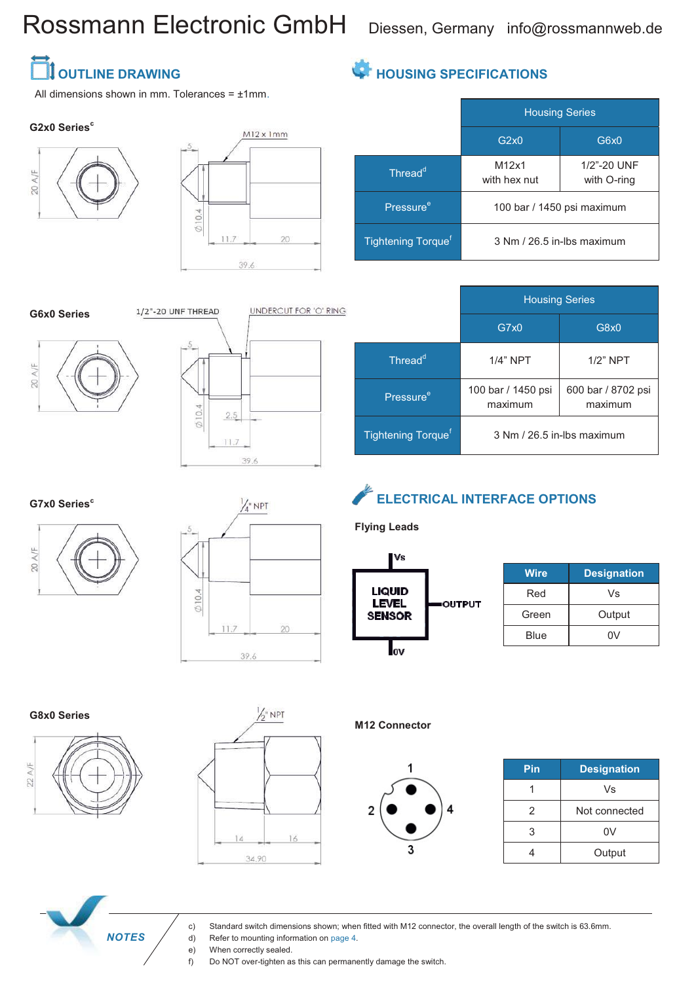# Rossmann Electronic GmbH Diessen, Germany info@rossmannweb.de

M12x1 with hex nut

Housing Series

G2x0 G6x0

100 bar / 1450 psi maximum

3 Nm / 26.5 in-lbs maximum

1/2"-20 UNF with O-ring

**HOUSING SPECIFICATIONS**

Thread<sup>d</sup>

Pressure<sup>e</sup>

Tightening Torque<sup>f</sup>

## **TE OUTLINE DRAWING**

All dimensions shown in mm. Tolerances =  $±1$ mm.

### **G2x0 Series<sup>c</sup>**





#### **G6x0 Series**





|                                | <b>Housing Series</b>         |                               |
|--------------------------------|-------------------------------|-------------------------------|
|                                | G7x0                          | G8x0                          |
| Thread <sup>d</sup>            | $1/4$ " NPT                   | $1/2$ " NPT                   |
| Pressure <sup>e</sup>          | 100 bar / 1450 psi<br>maximum | 600 bar / 8702 psi<br>maximum |
| Tightening Torque <sup>f</sup> |                               | 3 Nm / 26.5 in-lbs maximum    |

**G7x0 Series<sup>c</sup>**





## **ELECTRICAL INTERFACE OPTIONS**

**Flying Leads**



| <b>Wire</b> | <b>Designation</b> |
|-------------|--------------------|
| Red         | Vs                 |
| Green       | Output             |
| Blue        | n۷                 |

### **G8x0 Series**





**M12 Connector**



| Pin | <b>Designation</b> |
|-----|--------------------|
|     | Vs                 |
| 2   | Not connected      |
| 3   | 0V                 |
|     | Output             |

 *NOTES*

c) Standard switch dimensions shown; when fitted with M12 connector, the overall length of the switch is 63.6mm.

- d) Refer to mounting information on page 4.<br>e) When correctly sealed.
	- When correctly sealed.

f) Do NOT over-tighten as this can permanently damage the switch.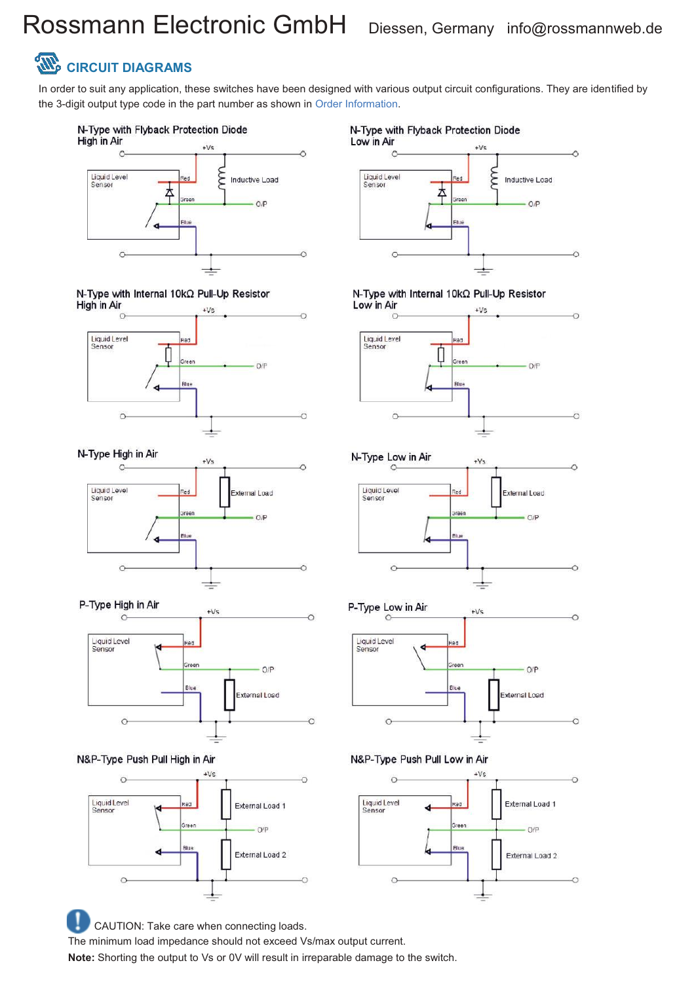# Rossmann Electronic GmbH Diessen, Germany info@rossmannweb.de

## **CIRCUIT DIAGRAMS**

In order to suit any application, these switches have been designed with various output circuit configurations. They are identified by the 3-digit output type code in the part number as shown in Order Information.







N-Type High in Air









CAUTION: Take care when connecting loads. The minimum load impedance should not exceed Vs/max output current. **Note:** Shorting the output to Vs or 0V will result in irreparable damage to the switch.



N-Type with Internal 10kΩ Pull-Up Resistor



N-Type Low in Air





N&P-Type Push Pull Low in Air